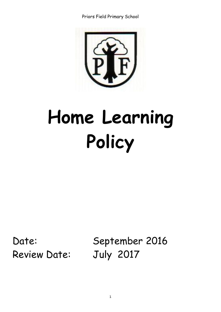

# **Home Learning Policy**

Review Date: July 2017

Date: September 2016

1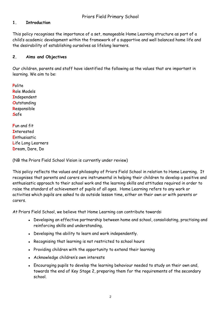#### **1. Introduction**

This policy recognises the importance of a set, manageable Home Learning structure as part of a child's academic development within the framework of a supportive and well balanced home life and the desirability of establishing ourselves as lifelong learners.

#### **2. Aims and Objectives**

Our children, parents and staff have identified the following as the values that are important in learning. We aim to be:

**P**olite **R**ole Models **I**ndependent **O**utstanding **R**esponsible **S**afe

**F**un and fit **I**nterested **E**nthusiastic **L**ife Long Learners **D**ream, Dare, Do

(NB the Priors Field School Vision is currently under review)

This policy reflects the values and philosophy of Priors Field School in relation to Home Learning. It recognises that parents and carers are instrumental in helping their children to develop a positive and enthusiastic approach to their school work and the learning skills and attitudes required in order to raise the standard of achievement of pupils of all ages. Home Learning refers to any work or activities which pupils are asked to do outside lesson time, either on their own or with parents or carers.

At Priors Field School, we believe that Home Learning can contribute towards:

- Developing an effective partnership between home and school, consolidating, practising and reinforcing skills and understanding,
- Developing the ability to learn and work independently.
- Recognising that learning is not restricted to school hours
- Providing children with the opportunity to extend their learning
- Acknowledge children's own interests
- Encouraging pupils to develop the learning behaviour needed to study on their own and, towards the end of Key Stage 2, preparing them for the requirements of the secondary school.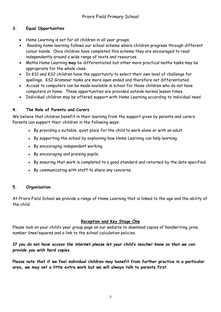# **3. Equal Opportunities**

- Home Learning is set for all children in all year groups.
- Reading home learning follows our school scheme where children progress through different colour bands. Once children have completed this scheme they are encouraged to read independently around a wide range of texts and resources.
- Maths Home Learning **may** be differentiated but other more practical maths tasks may be appropriate for the whole class.
- In KS1 and KS2 children have the opportunity to select their own level of challenge for spellings. KS2 Grammar tasks are more open ended and therefore not differentiated.
- Access to computers can be made available in school for those children who do not have computers at home. These opportunities are provided outside normal lesson times.
- Individual children may be offered support with Home Learning according to individual need

# **4. The Role of Parents and Carers**

We believe that children benefit in their learning from the support given by parents and carers. Parents can support their children in the following ways:

- By providing a suitable, quiet place for the child to work alone or with an adult.
- By supporting the school by explaining how Home Learning can help learning.
- By encouraging independent working.
- By encouraging and praising pupils.
- By ensuring that work is completed to a good standard and returned by the date specified.
- By communicating with staff to share any concerns.

# **5. Organisation**

At Priors Field School we provide a range of Home Learning that is linked to the age and the ability of the child:

# **Reception and Key Stage One**

Please look on your child's year group page on our website to download copies of handwriting joins, number lines/squares and a link to the school calculation policies.

#### *If you do not have access the internet please let your child's teacher know so that we can provide you with hard copies.*

**Please note that if we feel individual children may benefit from further practice in a particular area, we may set a little extra work but we will always talk to parents first.**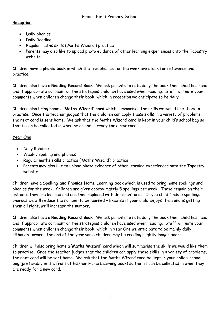## **Reception**

- Daily phonics
- Daily Reading
- Regular maths skills ('Maths Wizard') practice
- Parents may also like to upload photo evidence of other learning experiences onto the Tapestry website

Children have a **phonic book** in which the five phonics for the week are stuck for reference and practice.

Children also have a **Reading Record Book**. We ask parents to note daily the book their child has read and if appropriate comment on the strategies children have used when reading. Staff will note your comments when children change their book, which in reception we anticipate to be daily.

Children also bring home a **'Maths Wizard' card** which summarises the skills we would like them to practise. Once the teacher judges that the children can apply these skills in a variety of problems, the next card is sent home. We ask that the Maths Wizard card is kept in your child's school bag so that it can be collected in when he or she is ready for a new card.

#### **Year One**

- Daily Reading
- Weekly spelling and phonics
- Regular maths skills practice ('Maths Wizard') practice
- Parents may also like to upload photo evidence of other learning experiences onto the Tapestry website

Children have a **Spelling and Phonics Home Learning book** which is used to bring home spellings and phonics for the week. Children are given approximately 5 spellings per week. These remain on their list until they are learned and are then replaced with different ones. If you child finds 5 spellings onerous we will reduce the number to be learned – likewise if your child enjoys them and is getting them all right, we'll increase the number.

Children also have a **Reading Record Book**. We ask parents to note daily the book their child has read and if appropriate comment on the strategies children have used when reading. Staff will note your comments when children change their book, which in Year One we anticipate to be mainly daily although towards the end of the year some children may be reading slightly longer books.

Children will also bring home a **'Maths Wizard' card** which will summarise the skills we would like them to practise. Once the teacher judges that the children can apply these skills in a variety of problems, the next card will be sent home. We ask that the Maths Wizard card be kept in your child's school bag (preferably in the front of his/her Home Learning book) so that it can be collected in when they are ready for a new card.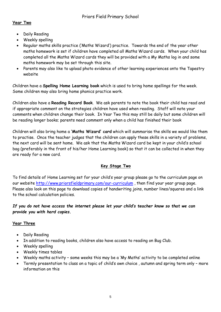#### **Year Two**

- Daily Reading
- Weekly spelling
- Regular maths skills practice ('Maths Wizard') practice. Towards the end of the year other maths homework is set if children have completed all Maths Wizard cards. When your child has completed all the Maths Wizard cards they will be provided with a My Maths log in and some maths homework may be set through this site.
- Parents may also like to upload photo evidence of other learning experiences onto the Tapestry website

Children have a **Spelling Home Learning book** which is used to bring home spellings for the week. Some children may also bring home phonics practice work.

Children also have a **Reading Record Book**. We ask parents to note the book their child has read and if appropriate comment on the strategies children have used when reading. Staff will note your comments when children change their book. In Year Two this may still be daily but some children will be reading longer books; parents need comment only when a child has finished their book

Children will also bring home a **'Maths Wizard' card** which will summarise the skills we would like them to practise. Once the teacher judges that the children can apply these skills in a variety of problems, the next card will be sent home. We ask that the Maths Wizard card be kept in your child's school bag (preferably in the front of his/her Home Learning book) so that it can be collected in when they are ready for a new card.

# **Key Stage Two**

To find details of Home Learning set for your child's year group please go to the curriculum page on our website<http://www.priorsfieldprimary.com/our-curriculum>, then find your year group page. Please also look on this page to download copies of handwriting joins, number lines/squares and a link to the school calculation policies.

#### *If you do not have access the internet please let your child's teacher know so that we can provide you with hard copies.*

# **Year Three**

- Daily Reading
- In addition to reading books, children also have access to reading on Bug Club.
- Weekly spelling
- Weekly times tables
- Weekly maths activity some weeks this may be a 'My Maths' activity to be completed online
- Termly presentation to class on a topic of child's own choice , autumn and spring term only more information on this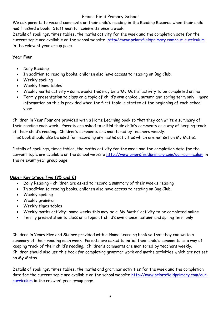# Priors Field Primary School

We ask parents to record comments on their child's reading in the Reading Records when their child has finished a book. Staff monitor comments once a week.

Details of spellings, times tables, the maths activity for the week and the completion date for the current topic are available on the school website <http://www.priorsfieldprimary.com/our-curriculum> in the relevant year group page.

# **Year Four**

- Daily Reading
- In addition to reading books, children also have access to reading on Bug Club.
- Weekly spelling
- Weekly times tables
- Weekly maths activity some weeks this may be a 'My Maths' activity to be completed online
- Termly presentation to class on a topic of child's own choice , autumn and spring term only more information on this is provided when the first topic is started at the beginning of each school year.

Children in Year Four are provided with a Home Learning book so that they can write a summary of their reading each week. Parents are asked to initial their child's comments as a way of keeping track of their child's reading. Children's comments are monitored by teachers weekly. This book should also be used for recording any maths activities which are not set on My Maths.

Details of spellings, times tables, the maths activity for the week and the completion date for the current topic are available on the school website<http://www.priorsfieldprimary.com/our-curriculum> in the relevant year group page.

# **Upper Key Stage Two (Y5 and 6)**

- Daily Reading children are asked to record a summary of their week's reading
- In addition to reading books, children also have access to reading on Bug Club.
- Weekly spelling
- Weekly grammar
- Weekly times tables
- Weekly maths activity– some weeks this may be a 'My Maths' activity to be completed online
- Termly presentation to class on a topic of child's own choice, autumn and spring term only

Children in Years Five and Six are provided with a Home Learning book so that they can write a summary of their reading each week. Parents are asked to initial their child's comments as a way of keeping track of their child's reading. Children's comments are monitored by teachers weekly. Children should also use this book for completing grammar work and maths activities which are not set on My Maths.

Details of spellings, times tables, the maths and grammar activities for the week and the completion date for the current topic are available on the school website [http://www.priorsfieldprimary.com/our](http://www.priorsfieldprimary.com/our-curriculum)[curriculum](http://www.priorsfieldprimary.com/our-curriculum) in the relevant year group page.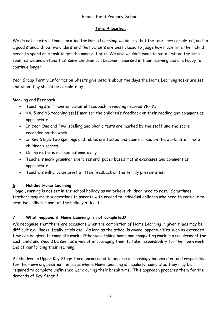# Priors Field Primary School

# **Time Allocation**

We do not specify a time allocation for Home Learning: we do ask that the tasks are completed, and to a good standard, but we understand that parents are best placed to judge how much time their child needs to spend on a task to get the most out of it. We also wouldn't want to put a limit on the time spent as we understand that some children can become immersed in their learning and are happy to continue longer.

Year Group Termly Information Sheets give details about the days the Home Learning tasks are set and when they should be complete by.

Marking and Feedback

- Teaching staff monitor parental feedback in reading records YR- Y3.
- Y4, 5 and Y6 teaching staff monitor the children's feedback on their reading and comment as appropriate
- In Year One and Two spelling and phonic tests are marked by the staff and the score recorded on the work
- In Key Stage Two spellings and tables are tested and peer marked on the work. Staff note children's scores.
- Online maths is marked automatically
- Teachers mark grammar exercises and paper based maths exercises and comment as appropriate
- Teachers will provide brief written feedback on the termly presentation.

# **6. Holiday Home Learning**

Home Learning is not set in the school holiday as we believe children need to rest. Sometimes teachers may make suggestions to parents with regard to individual children who need to continue to practise skills for part of the holiday at least.

# **7. What happens if Home Learning is not completed?**

We recognise that there are occasions when the completion of Home Learning in given times may be difficult e.g. illness, family crisis etc. As long as the school is aware, opportunities such as extended time can be given to complete work. Otherwise taking home and completing work is a requirement for each child and should be seen as a way of encouraging them to take responsibility for their own work and of reinforcing their learning.

As children in Upper Key Stage 2 are encouraged to become increasingly independent and responsible for their own organisation, in cases where Home Learning is regularly completed they may be required to complete unfinished work during their break time. This approach prepares them for the demands of Key Stage 3.